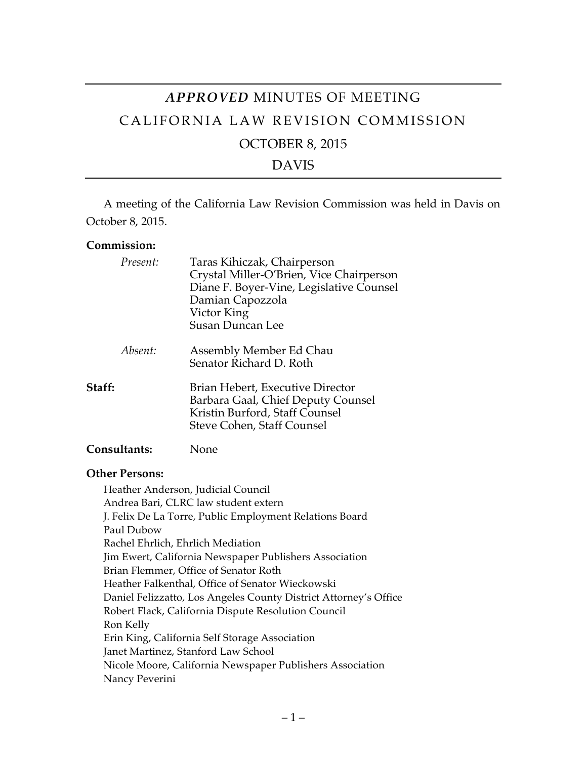# *APPROVED* MINUTES OF MEETING CALIFORNIA LAW REVISION COMMISSION OCTOBER 8, 2015 DAVIS

A meeting of the California Law Revision Commission was held in Davis on October 8, 2015.

#### **Commission:**

| Present:     | Taras Kihiczak, Chairperson<br>Crystal Miller-O'Brien, Vice Chairperson<br>Diane F. Boyer-Vine, Legislative Counsel<br>Damian Capozzola<br>Victor King<br><b>Susan Duncan Lee</b> |
|--------------|-----------------------------------------------------------------------------------------------------------------------------------------------------------------------------------|
| Absent:      | Assembly Member Ed Chau<br>Senator Richard D. Roth                                                                                                                                |
| Staff:       | Brian Hebert, Executive Director<br>Barbara Gaal, Chief Deputy Counsel<br>Kristin Burford, Staff Counsel<br>Steve Cohen, Staff Counsel                                            |
| Consultants: | None                                                                                                                                                                              |

#### **Other Persons:**

Heather Anderson, Judicial Council Andrea Bari, CLRC law student extern J. Felix De La Torre, Public Employment Relations Board Paul Dubow Rachel Ehrlich, Ehrlich Mediation Jim Ewert, California Newspaper Publishers Association Brian Flemmer, Office of Senator Roth Heather Falkenthal, Office of Senator Wieckowski Daniel Felizzatto, Los Angeles County District Attorney's Office Robert Flack, California Dispute Resolution Council Ron Kelly Erin King, California Self Storage Association Janet Martinez, Stanford Law School Nicole Moore, California Newspaper Publishers Association Nancy Peverini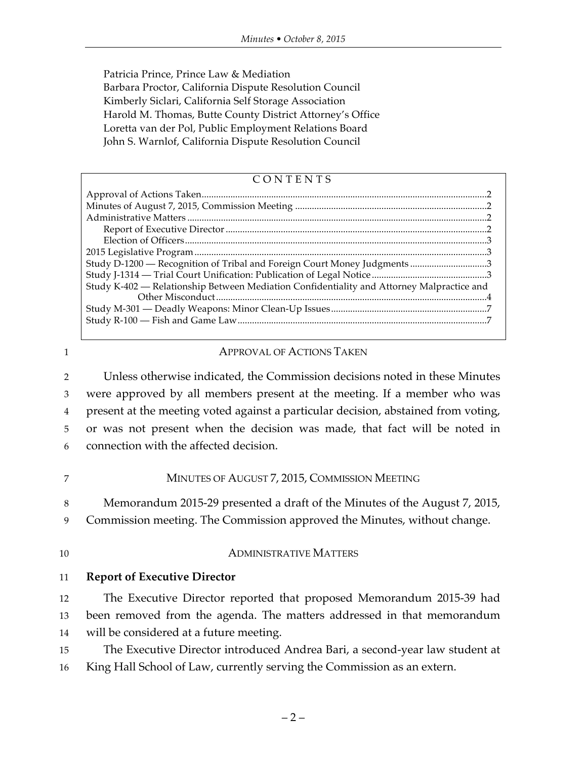Patricia Prince, Prince Law & Mediation Barbara Proctor, California Dispute Resolution Council Kimberly Siclari, California Self Storage Association Harold M. Thomas, Butte County District Attorney's Office Loretta van der Pol, Public Employment Relations Board John S. Warnlof, California Dispute Resolution Council

| CONTENTS                                                                                  |  |
|-------------------------------------------------------------------------------------------|--|
|                                                                                           |  |
|                                                                                           |  |
|                                                                                           |  |
|                                                                                           |  |
|                                                                                           |  |
|                                                                                           |  |
| Study D-1200 - Recognition of Tribal and Foreign Court Money Judgments 3                  |  |
|                                                                                           |  |
| Study K-402 — Relationship Between Mediation Confidentiality and Attorney Malpractice and |  |
|                                                                                           |  |
|                                                                                           |  |

#### 1 **APPROVAL OF ACTIONS TAKEN**

 Unless otherwise indicated, the Commission decisions noted in these Minutes were approved by all members present at the meeting. If a member who was present at the meeting voted against a particular decision, abstained from voting, or was not present when the decision was made, that fact will be noted in connection with the affected decision.

#### 7 MINUTES OF AUGUST 7, 2015, COMMISSION MEETING

8 Memorandum 2015-29 presented a draft of the Minutes of the August 7, 2015,

9 Commission meeting. The Commission approved the Minutes, without change.

#### 10 ADMINISTRATIVE MATTERS

#### 11 **Report of Executive Director**

12 The Executive Director reported that proposed Memorandum 2015-39 had 13 been removed from the agenda. The matters addressed in that memorandum 14 will be considered at a future meeting.

15 The Executive Director introduced Andrea Bari, a second-year law student at 16 King Hall School of Law, currently serving the Commission as an extern.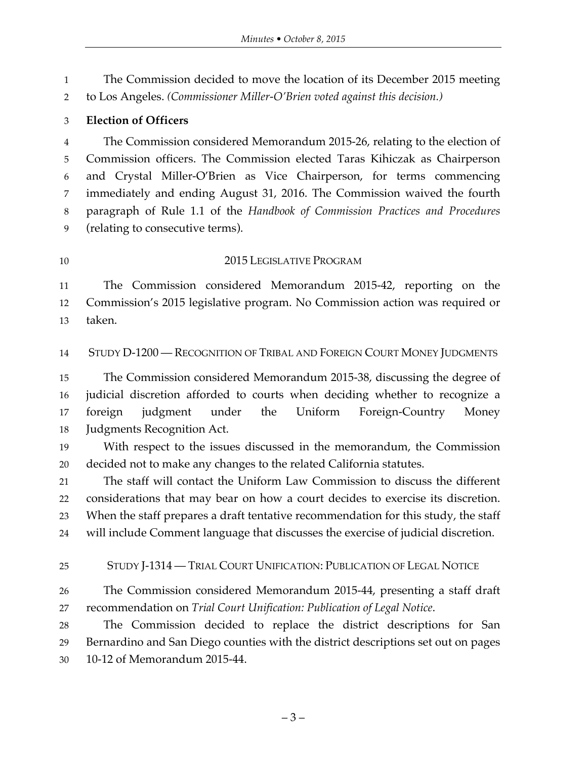The Commission decided to move the location of its December 2015 meeting to Los Angeles. *(Commissioner Miller-O'Brien voted against this decision.)*

#### **Election of Officers**

 The Commission considered Memorandum 2015-26, relating to the election of Commission officers. The Commission elected Taras Kihiczak as Chairperson and Crystal Miller-O'Brien as Vice Chairperson, for terms commencing immediately and ending August 31, 2016. The Commission waived the fourth paragraph of Rule 1.1 of the *Handbook of Commission Practices and Procedures* (relating to consecutive terms).

#### 10 2015 LEGISLATIVE PROGRAM

 The Commission considered Memorandum 2015-42, reporting on the Commission's 2015 legislative program. No Commission action was required or taken.

STUDY D-1200 — RECOGNITION OF TRIBAL AND FOREIGN COURT MONEY JUDGMENTS

 The Commission considered Memorandum 2015-38, discussing the degree of judicial discretion afforded to courts when deciding whether to recognize a foreign judgment under the Uniform Foreign-Country Money Judgments Recognition Act.

 With respect to the issues discussed in the memorandum, the Commission decided not to make any changes to the related California statutes.

 The staff will contact the Uniform Law Commission to discuss the different considerations that may bear on how a court decides to exercise its discretion. When the staff prepares a draft tentative recommendation for this study, the staff will include Comment language that discusses the exercise of judicial discretion.

#### STUDY J-1314 — TRIAL COURT UNIFICATION: PUBLICATION OF LEGAL NOTICE

 The Commission considered Memorandum 2015-44, presenting a staff draft recommendation on *Trial Court Unification: Publication of Legal Notice*.

 The Commission decided to replace the district descriptions for San Bernardino and San Diego counties with the district descriptions set out on pages 10-12 of Memorandum 2015-44.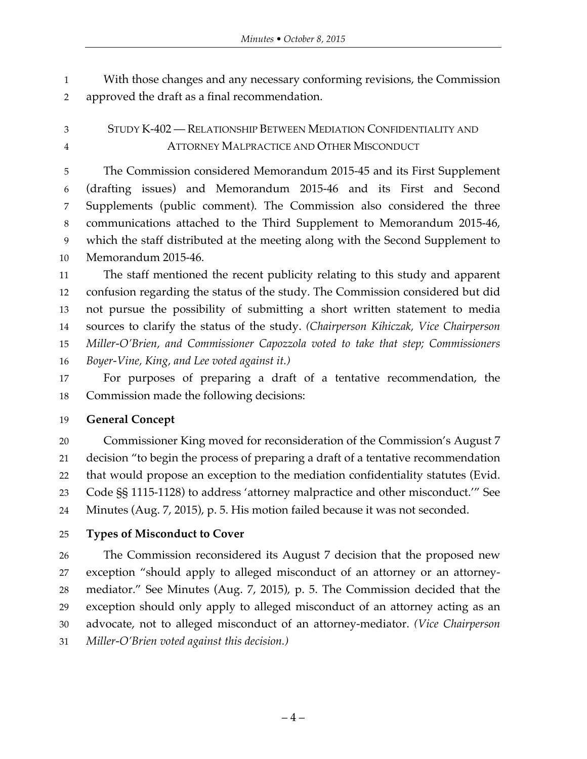With those changes and any necessary conforming revisions, the Commission approved the draft as a final recommendation.

## STUDY K-402 — RELATIONSHIP BETWEEN MEDIATION CONFIDENTIALITY AND ATTORNEY MALPRACTICE AND OTHER MISCONDUCT

 The Commission considered Memorandum 2015-45 and its First Supplement (drafting issues) and Memorandum 2015-46 and its First and Second Supplements (public comment). The Commission also considered the three communications attached to the Third Supplement to Memorandum 2015-46, which the staff distributed at the meeting along with the Second Supplement to Memorandum 2015-46.

 The staff mentioned the recent publicity relating to this study and apparent confusion regarding the status of the study. The Commission considered but did not pursue the possibility of submitting a short written statement to media sources to clarify the status of the study. *(Chairperson Kihiczak, Vice Chairperson Miller-O'Brien, and Commissioner Capozzola voted to take that step; Commissioners Boyer-Vine, King, and Lee voted against it.)*

 For purposes of preparing a draft of a tentative recommendation, the Commission made the following decisions:

## **General Concept**

 Commissioner King moved for reconsideration of the Commission's August 7 decision "to begin the process of preparing a draft of a tentative recommendation that would propose an exception to the mediation confidentiality statutes (Evid. Code §§ 1115-1128) to address 'attorney malpractice and other misconduct.'" See Minutes (Aug. 7, 2015), p. 5. His motion failed because it was not seconded.

## **Types of Misconduct to Cover**

 The Commission reconsidered its August 7 decision that the proposed new exception "should apply to alleged misconduct of an attorney or an attorney- mediator." See Minutes (Aug. 7, 2015), p. 5. The Commission decided that the exception should only apply to alleged misconduct of an attorney acting as an advocate, not to alleged misconduct of an attorney-mediator. *(Vice Chairperson Miller-O'Brien voted against this decision.)*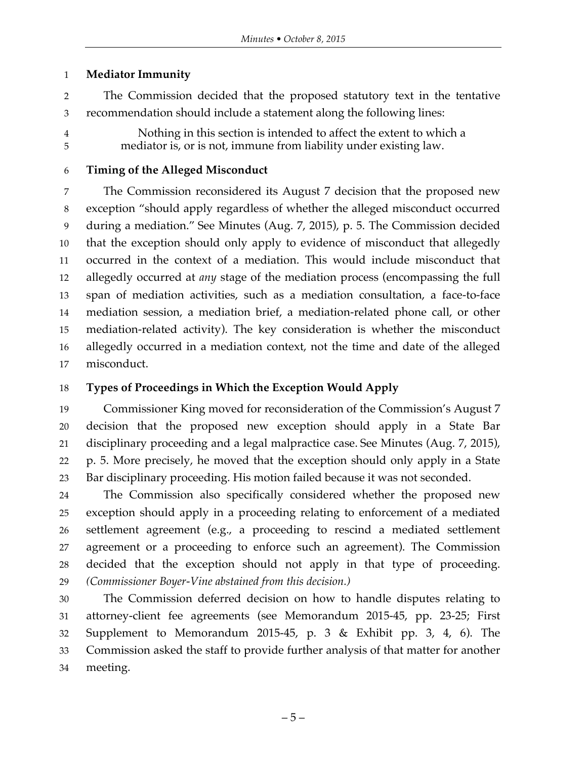#### **Mediator Immunity**

- The Commission decided that the proposed statutory text in the tentative recommendation should include a statement along the following lines:
- 

 Nothing in this section is intended to affect the extent to which a mediator is, or is not, immune from liability under existing law.

### **Timing of the Alleged Misconduct**

 The Commission reconsidered its August 7 decision that the proposed new exception "should apply regardless of whether the alleged misconduct occurred during a mediation." See Minutes (Aug. 7, 2015), p. 5. The Commission decided that the exception should only apply to evidence of misconduct that allegedly occurred in the context of a mediation. This would include misconduct that allegedly occurred at *any* stage of the mediation process (encompassing the full span of mediation activities, such as a mediation consultation, a face-to-face mediation session, a mediation brief, a mediation-related phone call, or other mediation-related activity). The key consideration is whether the misconduct allegedly occurred in a mediation context, not the time and date of the alleged misconduct.

## **Types of Proceedings in Which the Exception Would Apply**

 Commissioner King moved for reconsideration of the Commission's August 7 decision that the proposed new exception should apply in a State Bar disciplinary proceeding and a legal malpractice case. See Minutes (Aug. 7, 2015), p. 5. More precisely, he moved that the exception should only apply in a State Bar disciplinary proceeding. His motion failed because it was not seconded.

 The Commission also specifically considered whether the proposed new exception should apply in a proceeding relating to enforcement of a mediated settlement agreement (e.g., a proceeding to rescind a mediated settlement agreement or a proceeding to enforce such an agreement). The Commission decided that the exception should not apply in that type of proceeding. *(Commissioner Boyer-Vine abstained from this decision.)*

 The Commission deferred decision on how to handle disputes relating to attorney-client fee agreements (see Memorandum 2015-45, pp. 23-25; First Supplement to Memorandum 2015-45, p. 3 & Exhibit pp. 3, 4, 6). The Commission asked the staff to provide further analysis of that matter for another meeting.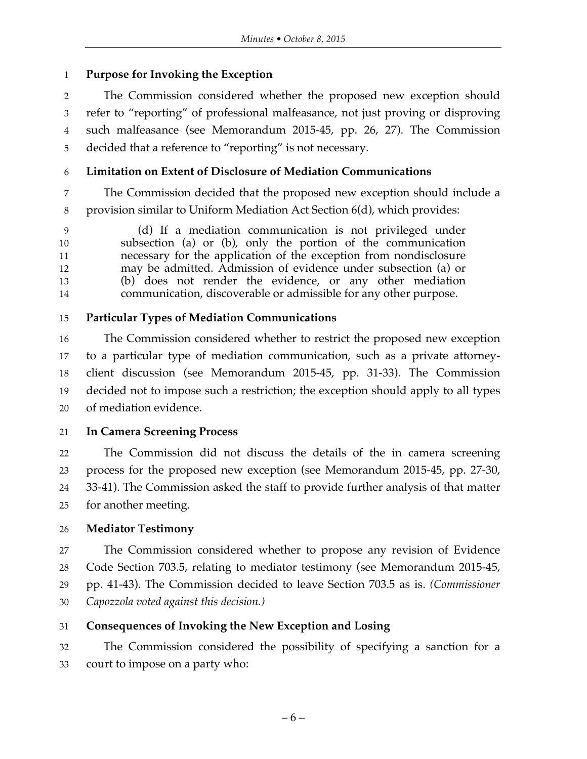## **Purpose for Invoking the Exception**

 The Commission considered whether the proposed new exception should refer to "reporting" of professional malfeasance, not just proving or disproving such malfeasance (see Memorandum 2015-45, pp. 26, 27). The Commission decided that a reference to "reporting" is not necessary.

## **Limitation on Extent of Disclosure of Mediation Communications**

 The Commission decided that the proposed new exception should include a provision similar to Uniform Mediation Act Section 6(d), which provides:

 (d) If a mediation communication is not privileged under subsection (a) or (b), only the portion of the communication necessary for the application of the exception from nondisclosure may be admitted. Admission of evidence under subsection (a) or (b) does not render the evidence, or any other mediation communication, discoverable or admissible for any other purpose.

## **Particular Types of Mediation Communications**

 The Commission considered whether to restrict the proposed new exception to a particular type of mediation communication, such as a private attorney- client discussion (see Memorandum 2015-45, pp. 31-33). The Commission decided not to impose such a restriction; the exception should apply to all types of mediation evidence.

## **In Camera Screening Process**

 The Commission did not discuss the details of the in camera screening process for the proposed new exception (see Memorandum 2015-45, pp. 27-30, 33-41). The Commission asked the staff to provide further analysis of that matter for another meeting.

## **Mediator Testimony**

 The Commission considered whether to propose any revision of Evidence Code Section 703.5, relating to mediator testimony (see Memorandum 2015-45, pp. 41-43). The Commission decided to leave Section 703.5 as is. *(Commissioner Capozzola voted against this decision.)*

## **Consequences of Invoking the New Exception and Losing**

 The Commission considered the possibility of specifying a sanction for a court to impose on a party who: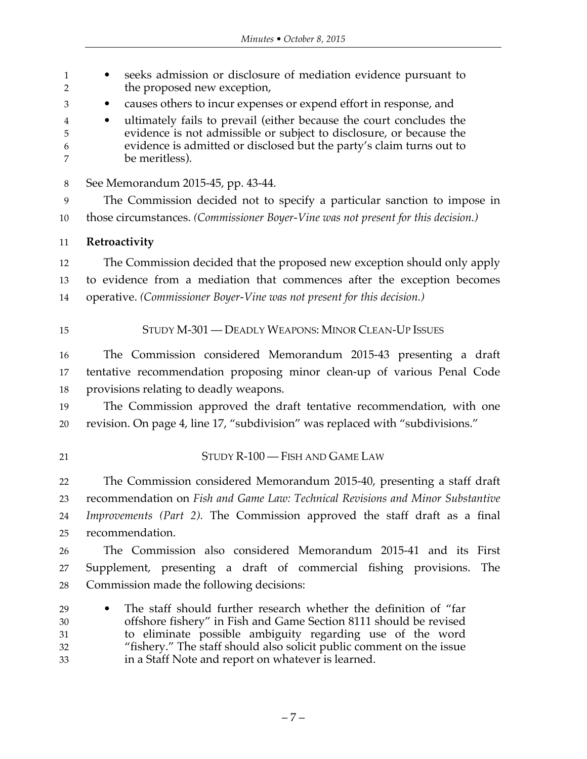| $\mathbf{1}$<br>$\overline{2}$ | seeks admission or disclosure of mediation evidence pursuant to<br>the proposed new exception,                                                                                                                                       |  |
|--------------------------------|--------------------------------------------------------------------------------------------------------------------------------------------------------------------------------------------------------------------------------------|--|
| 3                              | causes others to incur expenses or expend effort in response, and                                                                                                                                                                    |  |
| 4<br>5<br>6<br>7               | ultimately fails to prevail (either because the court concludes the<br>evidence is not admissible or subject to disclosure, or because the<br>evidence is admitted or disclosed but the party's claim turns out to<br>be meritless). |  |
| $8\,$                          | See Memorandum 2015-45, pp. 43-44.                                                                                                                                                                                                   |  |
| 9                              | The Commission decided not to specify a particular sanction to impose in                                                                                                                                                             |  |
| $10\,$                         | those circumstances. (Commissioner Boyer-Vine was not present for this decision.)                                                                                                                                                    |  |
| 11                             | Retroactivity                                                                                                                                                                                                                        |  |
| 12                             | The Commission decided that the proposed new exception should only apply                                                                                                                                                             |  |
| 13                             | to evidence from a mediation that commences after the exception becomes                                                                                                                                                              |  |
| 14                             | operative. (Commissioner Boyer-Vine was not present for this decision.)                                                                                                                                                              |  |
| 15                             | STUDY M-301 - DEADLY WEAPONS: MINOR CLEAN-UP ISSUES                                                                                                                                                                                  |  |
| 16                             | The Commission considered Memorandum 2015-43 presenting a draft                                                                                                                                                                      |  |
| 17                             | tentative recommendation proposing minor clean-up of various Penal Code                                                                                                                                                              |  |
| 18                             | provisions relating to deadly weapons.                                                                                                                                                                                               |  |
| 19                             | The Commission approved the draft tentative recommendation, with one                                                                                                                                                                 |  |
| 20                             | revision. On page 4, line 17, "subdivision" was replaced with "subdivisions."                                                                                                                                                        |  |
| 21                             | STUDY R-100 - FISH AND GAME LAW                                                                                                                                                                                                      |  |
| 22                             | The Commission considered Memorandum 2015-40, presenting a staff draft                                                                                                                                                               |  |
| 23                             | recommendation on Fish and Game Law: Technical Revisions and Minor Substantive                                                                                                                                                       |  |
| 24                             | <i>Improvements (Part 2)</i> . The Commission approved the staff draft as a final                                                                                                                                                    |  |
| 25                             | recommendation.                                                                                                                                                                                                                      |  |
| 26                             | The Commission also considered Memorandum 2015-41 and its First                                                                                                                                                                      |  |
| 27                             | Supplement, presenting a draft of commercial fishing provisions.<br>The                                                                                                                                                              |  |
| 28                             | Commission made the following decisions:                                                                                                                                                                                             |  |
| 29                             | The staff should further research whether the definition of "far                                                                                                                                                                     |  |
| 30                             | offshore fishery" in Fish and Game Section 8111 should be revised                                                                                                                                                                    |  |
| 31<br>32                       | to eliminate possible ambiguity regarding use of the word<br>"fishery." The staff should also solicit public comment on the issue                                                                                                    |  |
| 33                             | in a Staff Note and report on whatever is learned.                                                                                                                                                                                   |  |